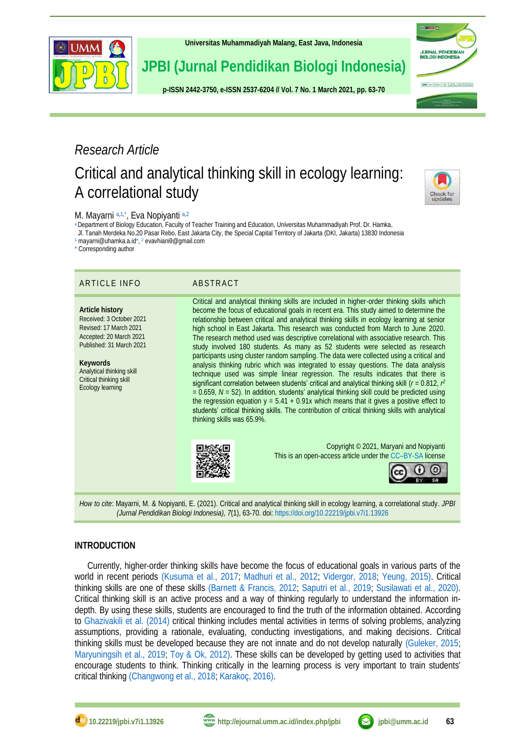

**[Universitas Muhammadiyah Malang,](http://ejournal.umm.ac.id/) East Java, Indonesia**

# **JPBI (Jurnal Pendidikan Biologi Indonesia)**

**p-ISS[N 2442-3750,](http://u.lipi.go.id/1422867894) e-ISS[N 2537-6204](http://u.lipi.go.id/1460300524) // Vol. 7 No. 1 March 2021, pp. 63-70**

# *Research Article*

# Critical and analytical thinking skill in ecology learning: A correlational study



**JURNAL PENDIDIKAN<br>BIOLOGI INDONESIA** 

# <span id="page-0-7"></span><span id="page-0-5"></span><span id="page-0-4"></span>M. Mayarni [a,](#page-0-0)[1,](#page-0-1)[\\*](#page-0-2), Eva Nopiyanti a,[2](#page-0-3)

<span id="page-0-0"></span>[a](#page-0-4) Department of Biology Education, Faculty of Teacher Training and Education, Universitas Muhammadiyah Prof. Dr. Hamka,

Jl. Tanah Merdeka No.20 Pasar Rebo, East Jakarta City, the Special Capital Territory of Jakarta (DKI, Jakarta) 13830 Indonesia

<span id="page-0-1"></span>[1](#page-0-5) mayarni@uhamka.a.i[d\\*,](mailto:*) [2](#page-0-6) evavhiani9@gmail.com

<span id="page-0-3"></span><span id="page-0-2"></span>[\\*](#page-0-7) Corresponding author

# ARTICLE INFO ABSTRACT

**Article history** Received: 3 October 2021 Revised: 17 March 2021 Accepted: 20 March 2021 Published: 31 March 2021

**Keywords** Analytical thinking skill Critical thinking skill Ecology learning

<span id="page-0-6"></span>Critical and analytical thinking skills are included in higher-order thinking skills which become the focus of educational goals in recent era. This study aimed to determine the relationship between critical and analytical thinking skills in ecology learning at senior high school in East Jakarta. This research was conducted from March to June 2020. The research method used was descriptive correlational with associative research. This study involved 180 students. As many as 52 students were selected as research participants using cluster random sampling. The data were collected using a critical and analysis thinking rubric which was integrated to essay questions. The data analysis technique used was simple linear regression. The results indicates that there is significant correlation between students' critical and analytical thinking skill (*r* = 0.812, *r*<sup>2</sup> *=* 0.659, *N* = 52). In addition, students' analytical thinking skill could be predicted using the regression equation  $y = 5.41 + 0.91x$  which means that it gives a positive effect to students' critical thinking skills. The contribution of critical thinking skills with analytical thinking skills was 65.9%.



Copyright © 2021, Maryani and Nopiyanti This is an open-access article under the CC–[BY-SA](http://creativecommons.org/licenses/by-sa/4.0/) license



*How to cite*: Mayarni, M. & Nopiyanti, E. (2021). Critical and analytical thinking skill in ecology learning, a correlational study. *JPBI (Jurnal Pendidikan Biologi Indonesia), 7*(1), 63-70. doi[: https://doi.org/10.22219/jpbi.v7i1.13926](https://doi.org/10.22219/jpbi.v7i1.13926)

# **INTRODUCTION**

Currently, higher-order thinking skills have become the focus of educational goals in various parts of the world in recent periods [\(Kusuma et al.,](#page-5-0) 2017; [Madhuri et al., 2012;](#page-5-1) [Vidergor, 2018;](#page-6-0) [Yeung, 2015\).](#page-7-0) Critical thinking skills are one of these skills [\(Barnett & Francis, 2012;](#page-4-0) [Saputri et al., 2019;](#page-6-1) [Susilawati et al., 2020\).](#page-6-2) Critical thinking skill is an active process and a way of thinking regularly to understand the information indepth. By using these skills, students are encouraged to find the truth of the information obtained. According to [Ghazivakili et al.](#page-5-2) (2014) critical thinking includes mental activities in terms of solving problems, analyzing assumptions, providing a rationale, evaluating, conducting investigations, and making decisions. Critical thinking skills must be developed because they are not innate and do not develop naturally [\(Guleker, 2015;](#page-5-3) [Maryuningsih et al., 2019;](#page-5-4) [Toy & Ok, 2012\).](#page-6-3) These skills can be developed by getting used to activities that encourage students to think. Thinking critically in the learning process is very important to train students' critical thinkin[g \(Changwong et al., 2018;](#page-5-5) [Karakoç, 2016\).](#page-5-6)



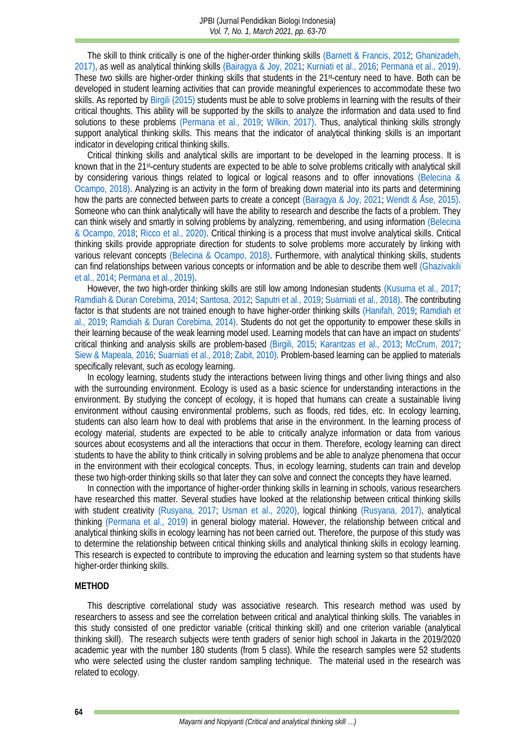The skill to think critically is one of the higher-order thinking skills [\(Barnett & Francis, 2012;](#page-4-0) [Ghanizadeh,](#page-5-7)  [2017\),](#page-5-7) as well as analytical thinking skills [\(Bairagya & Joy, 2021;](#page-4-1) [Kurniati et al., 2016;](#page-5-8) [Permana et al., 2019\).](#page-6-4) These two skills are higher-order thinking skills that students in the 21st-century need to have. Both can be developed in student learning activities that can provide meaningful experiences to accommodate these two skills. As reported by Birgili [\(2015\)](#page-4-2) students must be able to solve problems in learning with the results of their critical thoughts. This ability will be supported by the skills to analyze the information and data used to find solutions to these problems [\(Permana et al., 2019;](#page-6-4) [Wilkin, 2017\).](#page-7-1) Thus, analytical thinking skills strongly support analytical thinking skills. This means that the indicator of analytical thinking skills is an important indicator in developing critical thinking skills.

Critical thinking skills and analytical skills are important to be developed in the learning process. It is known that in the 21st-century students are expected to be able to solve problems critically with analytical skill by considering various things related to logical or logical reasons and to offer innovations [\(Belecina &](#page-4-3)  Ocampo, 2018). Analyzing is an activity in the form of breaking down material into its parts and determining how the parts are connected between parts to create a concept [\(Bairagya & Joy, 2021;](#page-4-1) [Wendt & Åse, 2015\).](#page-7-2) Someone who can think analytically will have the ability to research and describe the facts of a problem. They can think wisely and smartly in solving problems by analyzing, remembering, and using information [\(Belecina](#page-4-3)  [& Ocampo, 2018;](#page-4-3) [Ricco et al., 2020\).](#page-6-5) Critical thinking is a process that must involve analytical skills. Critical thinking skills provide appropriate direction for students to solve problems more accurately by linking with various relevant concepts [\(Belecina & Ocampo, 2018\).](#page-4-3) Furthermore, with analytical thinking skills, students can find relationships between various concepts or information and be able to describe them well [\(Ghazivakili](#page-5-2)  [et al., 2014;](#page-5-2) [Permana et al., 2019\).](#page-6-4)

However, the two high-order thinking skills are still low among Indonesian students [\(Kusuma et al., 2017;](#page-5-0) [Ramdiah & Duran Corebima, 2014;](#page-6-6) [Santosa, 2012;](#page-6-7) [Saputri et al., 2019;](#page-6-1) [Suarniati et al., 2018\).](#page-6-8) The contributing factor is that students are not trained enough to have higher-order thinking skills [\(Hanifah, 2019;](#page-5-9) [Ramdiah et](#page-6-9) [al., 2019;](#page-6-9) [Ramdiah & Duran Corebima, 2014\).](#page-6-6) Students do not get the opportunity to empower these skills in their learning because of the weak learning model used. Learning models that can have an impact on students' critical thinking and analysis skills are problem-based [\(Birgili, 2015;](#page-4-2) [Karantzas et al., 2013;](#page-5-10) [McCrum, 2017;](#page-5-11) [Siew & Mapeala, 2016;](#page-6-10) [Suarniati et al., 2018;](#page-6-8) [Zabit, 2010\).](#page-7-3) Problem-based learning can be applied to materials specifically relevant, such as ecology learning.

In ecology learning, students study the interactions between living things and other living things and also with the surrounding environment. Ecology is used as a basic science for understanding interactions in the environment. By studying the concept of ecology, it is hoped that humans can create a sustainable living environment without causing environmental problems, such as floods, red tides, etc. In ecology learning, students can also learn how to deal with problems that arise in the environment. In the learning process of ecology material, students are expected to be able to critically analyze information or data from various sources about ecosystems and all the interactions that occur in them. Therefore, ecology learning can direct students to have the ability to think critically in solving problems and be able to analyze phenomena that occur in the environment with their ecological concepts. Thus, in ecology learning, students can train and develop these two high-order thinking skills so that later they can solve and connect the concepts they have learned.

In connection with the importance of higher-order thinking skills in learning in schools, various researchers have researched this matter. Several studies have looked at the relationship between critical thinking skills with student creativity [\(Rusyana, 2017;](#page-6-11) [Usman et al., 2020\),](#page-6-12) logical thinking [\(Rusyana, 2017\),](#page-6-11) analytical thinking [\(Permana et al., 2019\)](#page-6-4) in general biology material. However, the relationship between critical and analytical thinking skills in ecology learning has not been carried out. Therefore, the purpose of this study was to determine the relationship between critical thinking skills and analytical thinking skills in ecology learning. This research is expected to contribute to improving the education and learning system so that students have higher-order thinking skills.

### **METHOD**

This descriptive correlational study was associative research. This research method was used by researchers to assess and see the correlation between critical and analytical thinking skills. The variables in this study consisted of one predictor variable (critical thinking skill) and one criterion variable (analytical thinking skill). The research subjects were tenth graders of senior high school in Jakarta in the 2019/2020 academic year with the number 180 students (from 5 class). While the research samples were 52 students who were selected using the cluster random sampling technique. The material used in the research was related to ecology.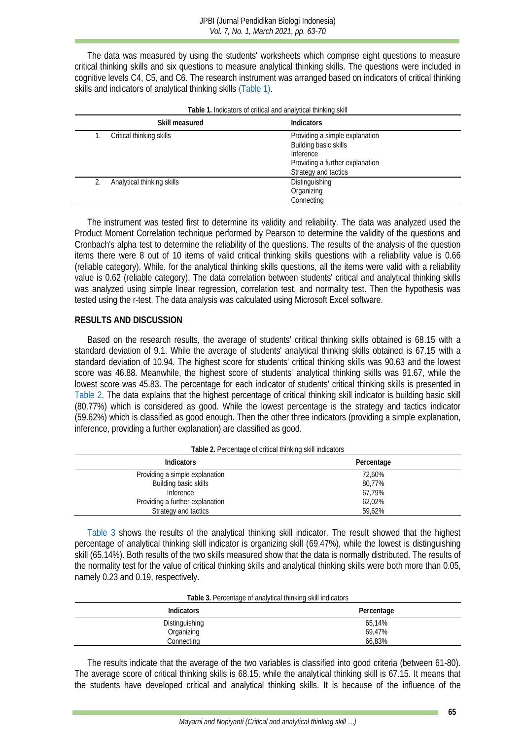The data was measured by using the students' worksheets which comprise eight questions to measure critical thinking skills and six questions to measure analytical thinking skills. The questions were included in cognitive levels C4, C5, and C6. The research instrument was arranged based on indicators of critical thinking skills and indicators of analytical thinking skill[s \(Table 1\).](#page-2-0)

**Table 1.** Indicators of critical and analytical thinking skill

<span id="page-2-0"></span>

| i abie T. Indicators of critical and analytical thinking skill. |                            |                                                                                                                                 |  |  |
|-----------------------------------------------------------------|----------------------------|---------------------------------------------------------------------------------------------------------------------------------|--|--|
|                                                                 | Skill measured             | Indicators                                                                                                                      |  |  |
|                                                                 | Critical thinking skills   | Providing a simple explanation<br>Building basic skills<br>Inference<br>Providing a further explanation<br>Strategy and tactics |  |  |
|                                                                 | Analytical thinking skills | Distinguishing<br>Organizing<br>Connecting                                                                                      |  |  |

The instrument was tested first to determine its validity and reliability. The data was analyzed used the Product Moment Correlation technique performed by Pearson to determine the validity of the questions and Cronbach's alpha test to determine the reliability of the questions. The results of the analysis of the question items there were 8 out of 10 items of valid critical thinking skills questions with a reliability value is 0.66 (reliable category). While, for the analytical thinking skills questions, all the items were valid with a reliability value is 0.62 (reliable category). The data correlation between students' critical and analytical thinking skills was analyzed using simple linear regression, correlation test, and normality test. Then the hypothesis was tested using the r-test. The data analysis was calculated using Microsoft Excel software.

### **RESULTS AND DISCUSSION**

Based on the research results, the average of students' critical thinking skills obtained is 68.15 with a standard deviation of 9.1. While the average of students' analytical thinking skills obtained is 67.15 with a standard deviation of 10.94. The highest score for students' critical thinking skills was 90.63 and the lowest score was 46.88. Meanwhile, the highest score of students' analytical thinking skills was 91.67, while the lowest score was 45.83. The percentage for each indicator of students' critical thinking skills is presented in [Table 2.](#page-2-1) The data explains that the highest percentage of critical thinking skill indicator is building basic skill (80.77%) which is considered as good. While the lowest percentage is the strategy and tactics indicator (59.62%) which is classified as good enough. Then the other three indicators (providing a simple explanation, inference, providing a further explanation) are classified as good.

<span id="page-2-1"></span>

| <b>Indicators</b>               | Percentage |
|---------------------------------|------------|
| Providing a simple explanation  | 72.60%     |
| Building basic skills           | 80,77%     |
| Inference                       | 67.79%     |
| Providing a further explanation | 62.02%     |
| Strategy and tactics            | 59.62%     |

[Table 3](#page-2-2) shows the results of the analytical thinking skill indicator. The result showed that the highest percentage of analytical thinking skill indicator is organizing skill (69.47%), while the lowest is distinguishing skill (65.14%). Both results of the two skills measured show that the data is normally distributed. The results of the normality test for the value of critical thinking skills and analytical thinking skills were both more than 0.05, namely 0.23 and 0.19, respectively.

| Table 3. Percentage of analytical thinking skill indicators |  |
|-------------------------------------------------------------|--|
|-------------------------------------------------------------|--|

<span id="page-2-2"></span>

| <b>Indicators</b> | Percentage |
|-------------------|------------|
| Distinguishing    | 65,14%     |
| Organizing        | 69,47%     |
| Connecting        | 66,83%     |

The results indicate that the average of the two variables is classified into good criteria (between 61-80). The average score of critical thinking skills is 68.15, while the analytical thinking skill is 67.15. It means that the students have developed critical and analytical thinking skills. It is because of the influence of the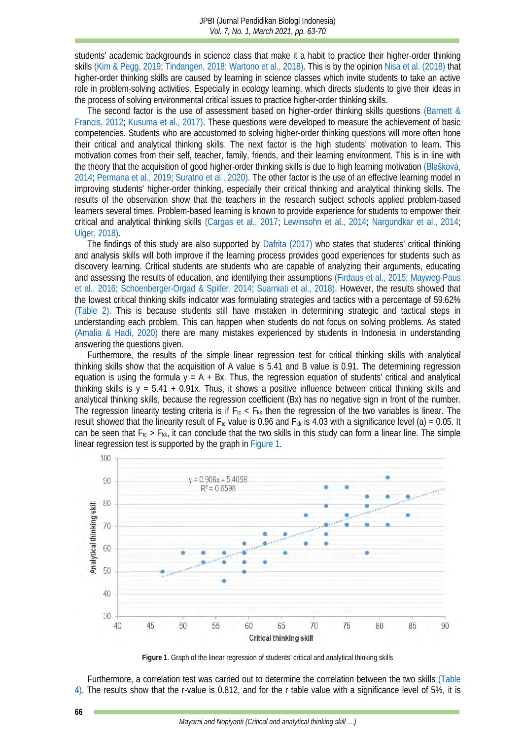students' academic backgrounds in science class that make it a habit to practice their higher-order thinking skills [\(Kim & Pegg, 2019;](#page-5-12) [Tindangen, 2018;](#page-6-13) [Wartono et al., 2018\).](#page-7-4) This is by the opinion [Nisa et al.](#page-6-14) (2018) that higher-order thinking skills are caused by learning in science classes which invite students to take an active role in problem-solving activities. Especially in ecology learning, which directs students to give their ideas in the process of solving environmental critical issues to practice higher-order thinking skills.

The second factor is the use of assessment based on higher-order thinking skills questions [\(Barnett &](#page-4-0)  [Francis, 2012;](#page-4-0) [Kusuma et al., 2017\).](#page-5-0) These questions were developed to measure the achievement of basic competencies. Students who are accustomed to solving higher-order thinking questions will more often hone their critical and analytical thinking skills. The next factor is the high students' motivation to learn. This motivation comes from their self, teacher, family, friends, and their learning environment. This is in line with the theory that the acquisition of good higher-order thinking skills is due to high learning motivation (Blašková, [2014;](#page-4-4) [Permana et al., 2019;](#page-6-4) [Suratno et al., 2020\).](#page-6-15) The other factor is the use of an effective learning model in improving students' higher-order thinking, especially their critical thinking and analytical thinking skills. The results of the observation show that the teachers in the research subject schools applied problem-based learners several times. Problem-based learning is known to provide experience for students to empower their critical and analytical thinking skills [\(Cargas et al., 2017;](#page-4-5) [Lewinsohn et al., 2014;](#page-5-13) [Nargundkar et al., 2014;](#page-5-14) [Ulger, 2018\).](#page-6-16)

The findings of this study are also supported by [Dafrita](#page-5-15) (2017) who states that students' critical thinking and analysis skills will both improve if the learning process provides good experiences for students such as discovery learning. Critical students are students who are capable of analyzing their arguments, educating and assessing the results of education, and identifying their assumptions [\(Firdaus et al., 2015;](#page-5-16) [Mayweg-Paus](#page-5-17)  [et al., 2016;](#page-5-17) [Schoenberger-Orgad & Spiller, 2014;](#page-6-17) [Suarniati et al., 2018\).](#page-6-8) However, the results showed that the lowest critical thinking skills indicator was formulating strategies and tactics with a percentage of 59.62% [\(Table 2\).](#page-2-1) This is because students still have mistaken in determining strategic and tactical steps in understanding each problem. This can happen when students do not focus on solving problems. As stated [\(Amalia & Hadi, 2020\)](#page-4-6) there are many mistakes experienced by students in Indonesia in understanding answering the questions given.

Furthermore, the results of the simple linear regression test for critical thinking skills with analytical thinking skills show that the acquisition of A value is 5.41 and B value is 0.91. The determining regression equation is using the formula  $y = A + Bx$ . Thus, the regression equation of students' critical and analytical thinking skills is y = 5.41 + 0.91x. Thus, it shows a positive influence between critical thinking skills and analytical thinking skills, because the regression coefficient (Bx) has no negative sign in front of the number. The regression linearity testing criteria is if  $F_{tc}$  <  $F_{kk}$  then the regression of the two variables is linear. The result showed that the linearity result of  $F_{tc}$  value is 0.96 and  $F_{kk}$  is 4.03 with a significance level (a) = 0.05. It can be seen that  $F_{tc} > F_{kk}$ , it can conclude that the two skills in this study can form a linear line. The simple linear regression test is supported by the graph in [Figure 1.](#page-3-0)



**Figure 1**. Graph of the linear regression of students' critical and analytical thinking skills

<span id="page-3-0"></span>Furthermore, a correlation test was carried out to determine the correlation between the two skills [\(Table](#page-4-7)  [4\).](#page-4-7) The results show that the r-value is 0.812, and for the r table value with a significance level of 5%, it is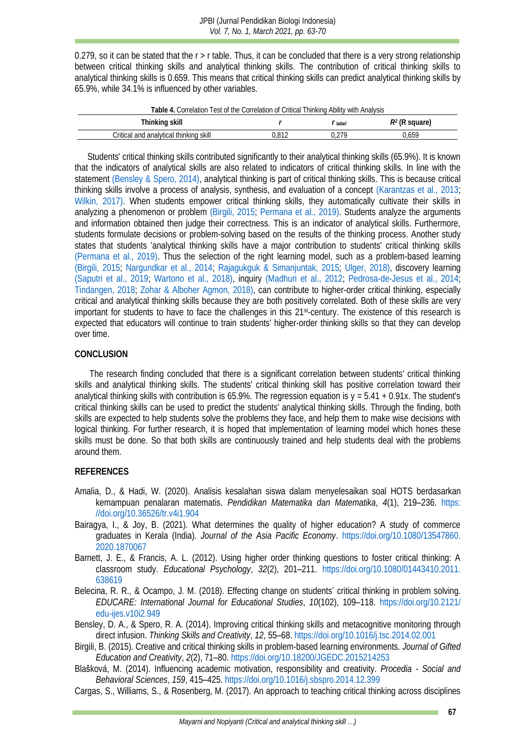0.279, so it can be stated that the  $r > r$  table. Thus, it can be concluded that there is a very strong relationship between critical thinking skills and analytical thinking skills. The contribution of critical thinking skills to analytical thinking skills is 0.659. This means that critical thinking skills can predict analytical thinking skills by 65.9%, while 34.1% is influenced by other variables.

<span id="page-4-7"></span>

| Table 4. Correlation Test of the Correlation of Critical Thinking Ability with Analysis |       |       |                  |  |  |  |
|-----------------------------------------------------------------------------------------|-------|-------|------------------|--|--|--|
| Thinking skill                                                                          |       | tabel | $R^2$ (R square) |  |  |  |
| Critical and analytical thinking skill                                                  | 0.812 | በ 279 | 0.659            |  |  |  |

Students' critical thinking skills contributed significantly to their analytical thinking skills (65.9%). It is known that the indicators of analytical skills are also related to indicators of critical thinking skills. In line with the statement [\(Bensley & Spero, 2014\),](#page-4-8) analytical thinking is part of critical thinking skills. This is because critical thinking skills involve a process of analysis, synthesis, and evaluation of a concept [\(Karantzas et al., 2013;](#page-5-10) [Wilkin, 2017\).](#page-7-1) When students empower critical thinking skills, they automatically cultivate their skills in analyzing a phenomenon or problem [\(Birgili, 2015;](#page-4-2) [Permana et al., 2019\).](#page-6-4) Students analyze the arguments and information obtained then judge their correctness. This is an indicator of analytical skills. Furthermore, students formulate decisions or problem-solving based on the results of the thinking process. Another study states that students 'analytical thinking skills have a major contribution to students' critical thinking skills [\(Permana et al., 2019\).](#page-6-4) Thus the selection of the right learning model, such as a problem-based learning [\(Birgili, 2015;](#page-4-2) [Nargundkar et al., 2014;](#page-5-14) [Rajagukguk & Simanjuntak, 2015;](#page-6-18) [Ulger, 2018\),](#page-6-16) discovery learning [\(Saputri et al., 2019;](#page-6-1) [Wartono et al., 2018\),](#page-7-4) inquiry [\(Madhuri et al., 2012;](#page-5-1) [Pedrosa-de-Jesus et al., 2014;](#page-6-19) [Tindangen, 2018;](#page-6-13) [Zohar & Alboher Agmon, 2018\),](#page-7-5) can contribute to higher-order critical thinking, especially critical and analytical thinking skills because they are both positively correlated. Both of these skills are very important for students to have to face the challenges in this 21st-century. The existence of this research is expected that educators will continue to train students' higher-order thinking skills so that they can develop over time.

# **CONCLUSION**

The research finding concluded that there is a significant correlation between students' critical thinking skills and analytical thinking skills. The students' critical thinking skill has positive correlation toward their analytical thinking skills with contribution is 65.9%. The regression equation is y = 5.41 + 0.91x. The student's critical thinking skills can be used to predict the students' analytical thinking skills. Through the finding, both skills are expected to help students solve the problems they face, and help them to make wise decisions with logical thinking. For further research, it is hoped that implementation of learning model which hones these skills must be done. So that both skills are continuously trained and help students deal with the problems around them.

# **REFERENCES**

- <span id="page-4-6"></span>Amalia, D., & Hadi, W. (2020). Analisis kesalahan siswa dalam menyelesaikan soal HOTS berdasarkan kemampuan penalaran matematis. *Pendidikan Matematika dan Matematika*, *4*(1), 219–236. [https:](https://doi.org/10.36526/tr.v4i1.904) [//doi.org/10.36526/tr.v4i1.904](https://doi.org/10.36526/tr.v4i1.904)
- <span id="page-4-1"></span>Bairagya, I., & Joy, B. (2021). What determines the quality of higher education? A study of commerce graduates in Kerala (India). *Journal of the Asia Pacific Economy*. [https://doi.org/10.1080/13547860.](https://doi.org/10.1080/13547860.2020.1870067) [2020.1870067](https://doi.org/10.1080/13547860.2020.1870067)
- <span id="page-4-0"></span>Barnett, J. E., & Francis, A. L. (2012). Using higher order thinking questions to foster critical thinking: A classroom study. *Educational Psychology*, *32*(2), 201–211. [https://doi.org/10.1080/01443410.2011.](https://doi.org/10.1080/01443410.2011.638619) [638619](https://doi.org/10.1080/01443410.2011.638619)
- <span id="page-4-3"></span>Belecina, R. R., & Ocampo, J. M. (2018). Effecting change on students' critical thinking in problem solving. *EDUCARE: International Journal for Educational Studies*, *10*(102), 109–118. [https://doi.org/10.2121/](https://doi.org/10.2121/edu-ijes.v10i2.949) [edu-ijes.v10i2.949](https://doi.org/10.2121/edu-ijes.v10i2.949)
- <span id="page-4-8"></span>Bensley, D. A., & Spero, R. A. (2014). Improving critical thinking skills and metacognitive monitoring through direct infusion. *Thinking Skills and Creativity*, *12*, 55–68.<https://doi.org/10.1016/j.tsc.2014.02.001>
- <span id="page-4-2"></span>Birgili, B. (2015). Creative and critical thinking skills in problem-based learning environments. *Journal of Gifted Education and Creativity*, *2*(2), 71–80.<https://doi.org/10.18200/JGEDC.2015214253>
- <span id="page-4-4"></span>Blašková, M. (2014). Influencing academic motivation, responsibility and creativity. *Procedia - Social and Behavioral Sciences*, *159*, 415–425.<https://doi.org/10.1016/j.sbspro.2014.12.399>

<span id="page-4-5"></span>Cargas, S., Williams, S., & Rosenberg, M. (2017). An approach to teaching critical thinking across disciplines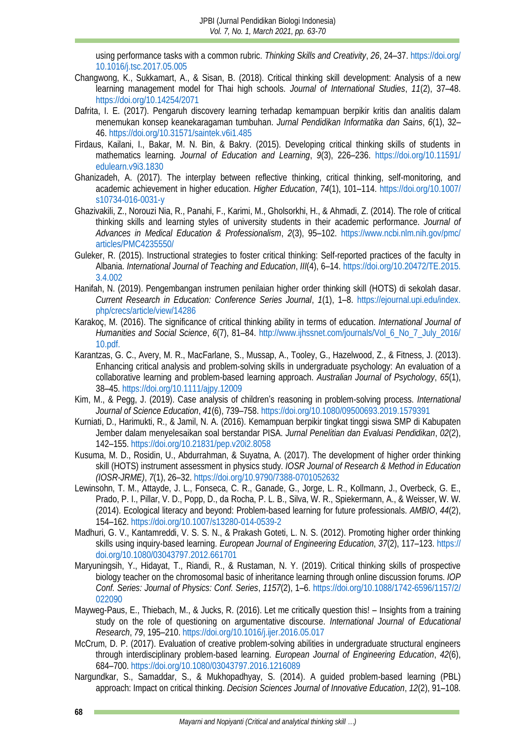using performance tasks with a common rubric. *Thinking Skills and Creativity*, *26*, 24–37. [https://doi.org/](https://doi.org/10.1016/j.tsc.2017.05.005) [10.1016/j.tsc.2017.05.005](https://doi.org/10.1016/j.tsc.2017.05.005)

- <span id="page-5-5"></span>Changwong, K., Sukkamart, A., & Sisan, B. (2018). Critical thinking skill development: Analysis of a new learning management model for Thai high schools. *Journal of International Studies*, *11*(2), 37–48. <https://doi.org/10.14254/2071>
- <span id="page-5-15"></span>Dafrita, I. E. (2017). Pengaruh discovery learning terhadap kemampuan berpikir kritis dan analitis dalam menemukan konsep keanekaragaman tumbuhan. *Jurnal Pendidikan Informatika dan Sains*, *6*(1), 32– 46.<https://doi.org/10.31571/saintek.v6i1.485>
- <span id="page-5-16"></span>Firdaus, Kailani, I., Bakar, M. N. Bin, & Bakry. (2015). Developing critical thinking skills of students in mathematics learning. *Journal of Education and Learning*, *9*(3), 226–236. [https://doi.org/10.11591/](https://doi.org/10.11591/edulearn.v9i3.1830) [edulearn.v9i3.1830](https://doi.org/10.11591/edulearn.v9i3.1830)
- <span id="page-5-7"></span>Ghanizadeh, A. (2017). The interplay between reflective thinking, critical thinking, self-monitoring, and academic achievement in higher education. *Higher Education*, *74*(1), 101–114. [https://doi.org/10.1007/](https://doi.org/10.1007/s10734-016-0031-y) [s10734-016-0031-y](https://doi.org/10.1007/s10734-016-0031-y)
- <span id="page-5-2"></span>Ghazivakili, Z., Norouzi Nia, R., Panahi, F., Karimi, M., Gholsorkhi, H., & Ahmadi, Z. (2014). The role of critical thinking skills and learning styles of university students in their academic performance. *Journal of Advances in Medical Education & Professionalism*, *2*(3), 95–102. [https://www.ncbi.nlm.nih.gov/pmc/](https://www.ncbi.nlm.nih.gov/pmc/articles/PMC4235550/) [articles/PMC4235550/](https://www.ncbi.nlm.nih.gov/pmc/articles/PMC4235550/)
- <span id="page-5-3"></span>Guleker, R. (2015). Instructional strategies to foster critical thinking: Self-reported practices of the faculty in Albania. *International Journal of Teaching and Education*, *III*(4), 6–14[. https://doi.org/10.20472/TE.2015.](https://doi.org/10.20472/TE.2015.3.4.002) [3.4.002](https://doi.org/10.20472/TE.2015.3.4.002)
- <span id="page-5-9"></span>Hanifah, N. (2019). Pengembangan instrumen penilaian higher order thinking skill (HOTS) di sekolah dasar. *Current Research in Education: Conference Series Journal*, *1*(1), 1–8. [https://ejournal.upi.edu/index.](https://ejournal.upi.edu/index.php/crecs/article/view/14286) [php/crecs/article/view/14286](https://ejournal.upi.edu/index.php/crecs/article/view/14286)
- <span id="page-5-6"></span>Karakoç, M. (2016). The significance of critical thinking ability in terms of education. *International Journal of Humanities and Social Science*, *6*(7), 81–84. [http://www.ijhssnet.com/journals/Vol\\_6\\_No\\_7\\_July\\_2016/](http://www.ijhssnet.com/journals/Vol_6_No_7_July_2016/10.pdf.) [10.pdf.](http://www.ijhssnet.com/journals/Vol_6_No_7_July_2016/10.pdf.)
- <span id="page-5-10"></span>Karantzas, G. C., Avery, M. R., MacFarlane, S., Mussap, A., Tooley, G., Hazelwood, Z., & Fitness, J. (2013). Enhancing critical analysis and problem-solving skills in undergraduate psychology: An evaluation of a collaborative learning and problem-based learning approach. *Australian Journal of Psychology*, *65*(1), 38–45.<https://doi.org/10.1111/ajpy.12009>
- <span id="page-5-12"></span>Kim, M., & Pegg, J. (2019). Case analysis of children's reasoning in problem-solving process. *International Journal of Science Education*, *41*(6), 739–758.<https://doi.org/10.1080/09500693.2019.1579391>
- <span id="page-5-8"></span>Kurniati, D., Harimukti, R., & Jamil, N. A. (2016). Kemampuan berpikir tingkat tinggi siswa SMP di Kabupaten Jember dalam menyelesaikan soal berstandar PISA. *Jurnal Penelitian dan Evaluasi Pendidikan*, *02*(2), 142–155.<https://doi.org/10.21831/pep.v20i2.8058>
- <span id="page-5-0"></span>Kusuma, M. D., Rosidin, U., Abdurrahman, & Suyatna, A. (2017). The development of higher order thinking skill (HOTS) instrument assessment in physics study. *IOSR Journal of Research & Method in Education (IOSR-JRME)*, *7*(1), 26–32.<https://doi.org/10.9790/7388-0701052632>
- <span id="page-5-13"></span>Lewinsohn, T. M., Attayde, J. L., Fonseca, C. R., Ganade, G., Jorge, L. R., Kollmann, J., Overbeck, G. E., Prado, P. I., Pillar, V. D., Popp, D., da Rocha, P. L. B., Silva, W. R., Spiekermann, A., & Weisser, W. W. (2014). Ecological literacy and beyond: Problem-based learning for future professionals. *AMBIO*, *44*(2), 154–162.<https://doi.org/10.1007/s13280-014-0539-2>
- <span id="page-5-1"></span>Madhuri, G. V., Kantamreddi, V. S. S. N., & Prakash Goteti, L. N. S. (2012). Promoting higher order thinking skills using inquiry-based learning. *European Journal of Engineering Education*, *37*(2), 117–123. [https://](https://doi.org/10.1080/03043797.2012.661701) [doi.org/10.1080/03043797.2012.661701](https://doi.org/10.1080/03043797.2012.661701)
- <span id="page-5-4"></span>Maryuningsih, Y., Hidayat, T., Riandi, R., & Rustaman, N. Y. (2019). Critical thinking skills of prospective biology teacher on the chromosomal basic of inheritance learning through online discussion forums. *IOP Conf. Series: Journal of Physics: Conf. Series*, *1157*(2), 1–6. [https://doi.org/10.1088/1742-6596/1157/2/](https://doi.org/10.1088/1742-6596/1157/2/022090) [022090](https://doi.org/10.1088/1742-6596/1157/2/022090)
- <span id="page-5-17"></span>Mayweg-Paus, E., Thiebach, M., & Jucks, R. (2016). Let me critically question this! – Insights from a training study on the role of questioning on argumentative discourse. *International Journal of Educational Research*, *79*, 195–210.<https://doi.org/10.1016/j.ijer.2016.05.017>
- <span id="page-5-11"></span>McCrum, D. P. (2017). Evaluation of creative problem-solving abilities in undergraduate structural engineers through interdisciplinary problem-based learning. *European Journal of Engineering Education*, *42*(6), 684–700.<https://doi.org/10.1080/03043797.2016.1216089>
- <span id="page-5-14"></span>Nargundkar, S., Samaddar, S., & Mukhopadhyay, S. (2014). A guided problem-based learning (PBL) approach: Impact on critical thinking. *Decision Sciences Journal of Innovative Education*, *12*(2), 91–108.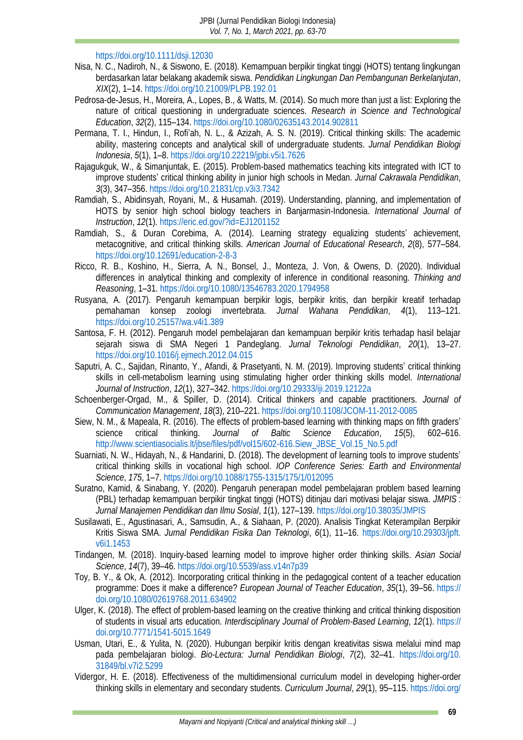# <https://doi.org/10.1111/dsji.12030>

- <span id="page-6-14"></span>Nisa, N. C., Nadiroh, N., & Siswono, E. (2018). Kemampuan berpikir tingkat tinggi (HOTS) tentang lingkungan berdasarkan latar belakang akademik siswa. *Pendidikan Lingkungan Dan Pembangunan Berkelanjutan*, *XIX*(2), 1–14[. https://doi.org/10.21009/PLPB.192.01](https://doi.org/10.21009/PLPB.192.01)
- <span id="page-6-19"></span>Pedrosa-de-Jesus, H., Moreira, A., Lopes, B., & Watts, M. (2014). So much more than just a list: Exploring the nature of critical questioning in undergraduate sciences. *Research in Science and Technological Education*, *32*(2), 115–134[. https://doi.org/10.1080/02635143.2014.902811](https://doi.org/10.1080/02635143.2014.902811)
- <span id="page-6-4"></span>Permana, T. I., Hindun, I., Rofi'ah, N. L., & Azizah, A. S. N. (2019). Critical thinking skills: The academic ability, mastering concepts and analytical skill of undergraduate students. *Jurnal Pendidikan Biologi Indonesia*, *5*(1), 1–8[. https://doi.org/10.22219/jpbi.v5i1.7626](https://doi.org/10.22219/jpbi.v5i1.7626)
- <span id="page-6-18"></span>Rajagukguk, W., & Simanjuntak, E. (2015). Problem-based mathematics teaching kits integrated with ICT to improve students' critical thinking ability in junior high schools in Medan. *Jurnal Cakrawala Pendidikan*, *3*(3), 347–356.<https://doi.org/10.21831/cp.v3i3.7342>
- <span id="page-6-9"></span>Ramdiah, S., Abidinsyah, Royani, M., & Husamah. (2019). Understanding, planning, and implementation of HOTS by senior high school biology teachers in Banjarmasin-Indonesia. *International Journal of Instruction*, *12*(1).<https://eric.ed.gov/?id=EJ1201152>
- <span id="page-6-6"></span>Ramdiah, S., & Duran Corebima, A. (2014). Learning strategy equalizing students' achievement, metacognitive, and critical thinking skills. *American Journal of Educational Research*, *2*(8), 577–584. <https://doi.org/10.12691/education-2-8-3>
- <span id="page-6-5"></span>Ricco, R. B., Koshino, H., Sierra, A. N., Bonsel, J., Monteza, J. Von, & Owens, D. (2020). Individual differences in analytical thinking and complexity of inference in conditional reasoning. *Thinking and Reasoning*, 1–31.<https://doi.org/10.1080/13546783.2020.1794958>
- <span id="page-6-11"></span>Rusyana, A. (2017). Pengaruh kemampuan berpikir logis, berpikir kritis, dan berpikir kreatif terhadap pemahaman konsep zoologi invertebrata. *Jurnal Wahana Pendidikan*, *4*(1), 113–121. <https://doi.org/10.25157/wa.v4i1.389>
- <span id="page-6-7"></span>Santosa, F. H. (2012). Pengaruh model pembelajaran dan kemampuan berpikir kritis terhadap hasil belajar sejarah siswa di SMA Negeri 1 Pandeglang. *Jurnal Teknologi Pendidikan*, *20*(1), 13–27. <https://doi.org/10.1016/j.ejmech.2012.04.015>
- <span id="page-6-1"></span>Saputri, A. C., Sajidan, Rinanto, Y., Afandi, & Prasetyanti, N. M. (2019). Improving students' critical thinking skills in cell-metabolism learning using stimulating higher order thinking skills model. *International Journal of Instruction*, *12*(1), 327–342.<https://doi.org/10.29333/iji.2019.12122a>
- <span id="page-6-17"></span>Schoenberger-Orgad, M., & Spiller, D. (2014). Critical thinkers and capable practitioners. *Journal of Communication Management*, *18*(3), 210–221.<https://doi.org/10.1108/JCOM-11-2012-0085>
- <span id="page-6-10"></span>Siew, N. M., & Mapeala, R. (2016). The effects of problem-based learning with thinking maps on fifth graders' science critical thinking. *Journal of Baltic Science Education*, *15*(5), 602–616. [http://www.scientiasocialis.lt/jbse/files/pdf/vol15/602-616.Siew\\_JBSE\\_Vol.15\\_No.5.pdf](http://www.scientiasocialis.lt/jbse/files/pdf/vol15/602-616.Siew_JBSE_Vol.15_No.5.pdf)
- <span id="page-6-8"></span>Suarniati, N. W., Hidayah, N., & Handarini, D. (2018). The development of learning tools to improve students' critical thinking skills in vocational high school. *IOP Conference Series: Earth and Environmental Science*, *175*, 1–7.<https://doi.org/10.1088/1755-1315/175/1/012095>
- <span id="page-6-15"></span>Suratno, Kamid, & Sinabang, Y. (2020). Pengaruh penerapan model pembelajaran problem based learning (PBL) terhadap kemampuan berpikir tingkat tinggi (HOTS) ditinjau dari motivasi belajar siswa. *JMPIS : Jurnal Manajemen Pendidikan dan Ilmu Sosial*, *1*(1), 127–139.<https://doi.org/10.38035/JMPIS>
- <span id="page-6-2"></span>Susilawati, E., Agustinasari, A., Samsudin, A., & Siahaan, P. (2020). Analisis Tingkat Keterampilan Berpikir Kritis Siswa SMA. *Jurnal Pendidikan Fisika Dan Teknologi*, *6*(1), 11–16. [https://doi.org/10.29303/jpft.](https://doi.org/10.29303/jpft.v6i1.1453) [v6i1.1453](https://doi.org/10.29303/jpft.v6i1.1453)
- <span id="page-6-13"></span>Tindangen, M. (2018). Inquiry-based learning model to improve higher order thinking skills. *Asian Social Science*, *14*(7), 39–46.<https://doi.org/10.5539/ass.v14n7p39>
- <span id="page-6-3"></span>Toy, B. Y., & Ok, A. (2012). Incorporating critical thinking in the pedagogical content of a teacher education programme: Does it make a difference? *European Journal of Teacher Education*, *35*(1), 39–56. [https://](https://doi.org/10.1080/02619768.2011.634902) [doi.org/10.1080/02619768.2011.634902](https://doi.org/10.1080/02619768.2011.634902)
- <span id="page-6-16"></span>Ulger, K. (2018). The effect of problem-based learning on the creative thinking and critical thinking disposition of students in visual arts education. *Interdisciplinary Journal of Problem-Based Learning*, *12*(1). [https://](https://doi.org/10.7771/1541-5015.1649) [doi.org/10.7771/1541-5015.1649](https://doi.org/10.7771/1541-5015.1649)
- <span id="page-6-12"></span>Usman, Utari, E., & Yulita, N. (2020). Hubungan berpikir kritis dengan kreativitas siswa melalui mind map pada pembelajaran biologi. *Bio-Lectura: Jurnal Pendidikan Biologi*, *7*(2), 32–41. [https://doi.org/10.](https://doi.org/10.31849/bl.v7i2.5299) [31849/bl.v7i2.5299](https://doi.org/10.31849/bl.v7i2.5299)
- <span id="page-6-0"></span>Vidergor, H. E. (2018). Effectiveness of the multidimensional curriculum model in developing higher-order thinking skills in elementary and secondary students. *Curriculum Journal*, *29*(1), 95–115. [https://doi.org/](https://doi.org/10.1080/09585176.2017.1318771)